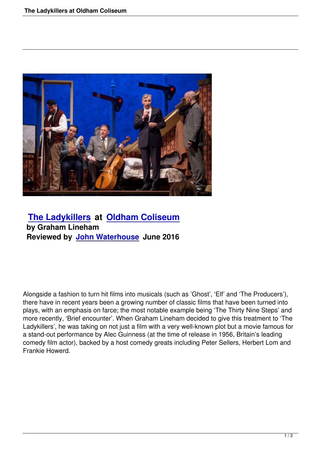

# **The Ladykillers at Oldham Coliseum by Graham Lineham [Reviewed by John](the-ladykillers-at-oldham-coliseum.html) W[aterhouse June 2016](http://www.coliseum.org.uk/)**

Alongside a fashion to turn hit films into musicals (such as 'Ghost', 'Elf' and 'The Producers'), there have in recent years been a growing number of classic films that have been turned into plays, with an emphasis on farce; the most notable example being 'The Thirty Nine Steps' and more recently, 'Brief encounter'. When Graham Lineham decided to give this treatment to 'The Ladykillers', he was taking on not just a film with a very well-known plot but a movie famous for a stand-out performance by Alec Guinness (at the time of release in 1956, Britain's leading comedy film actor), backed by a host comedy greats including Peter Sellers, Herbert Lom and Frankie Howerd.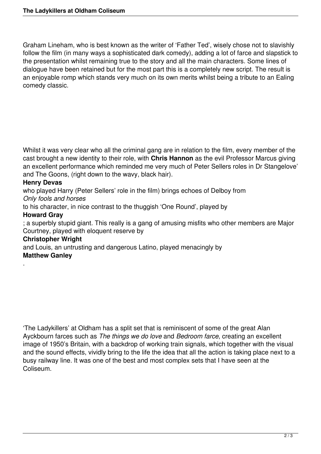Graham Lineham, who is best known as the writer of 'Father Ted', wisely chose not to slavishly follow the film (in many ways a sophisticated dark comedy), adding a lot of farce and slapstick to the presentation whilst remaining true to the story and all the main characters. Some lines of dialogue have been retained but for the most part this is a completely new script. The result is an enjoyable romp which stands very much on its own merits whilst being a tribute to an Ealing comedy classic.

Whilst it was very clear who all the criminal gang are in relation to the film, every member of the cast brought a new identity to their role, with **Chris Hannon** as the evil Professor Marcus giving an excellent performance which reminded me very much of Peter Sellers roles in Dr Stangelove' and The Goons, (right down to the wavy, black hair).

## **Henry Devas**

who played Harry (Peter Sellers' role in the film) brings echoes of Delboy from *Only fools and horses*

to his character, in nice contrast to the thuggish 'One Round', played by

## **Howard Gray**

.

; a superbly stupid giant. This really is a gang of amusing misfits who other members are Major Courtney, played with eloquent reserve by

#### **Christopher Wright**

and Louis, an untrusting and dangerous Latino, played menacingly by **Matthew Ganley**

'The Ladykillers' at Oldham has a split set that is reminiscent of some of the great Alan Ayckbourn farces such as *The things we do love* and *Bedroom farce*, creating an excellent image of 1950's Britain, with a backdrop of working train signals, which together with the visual and the sound effects, vividly bring to the life the idea that all the action is taking place next to a busy railway line. It was one of the best and most complex sets that I have seen at the Coliseum.